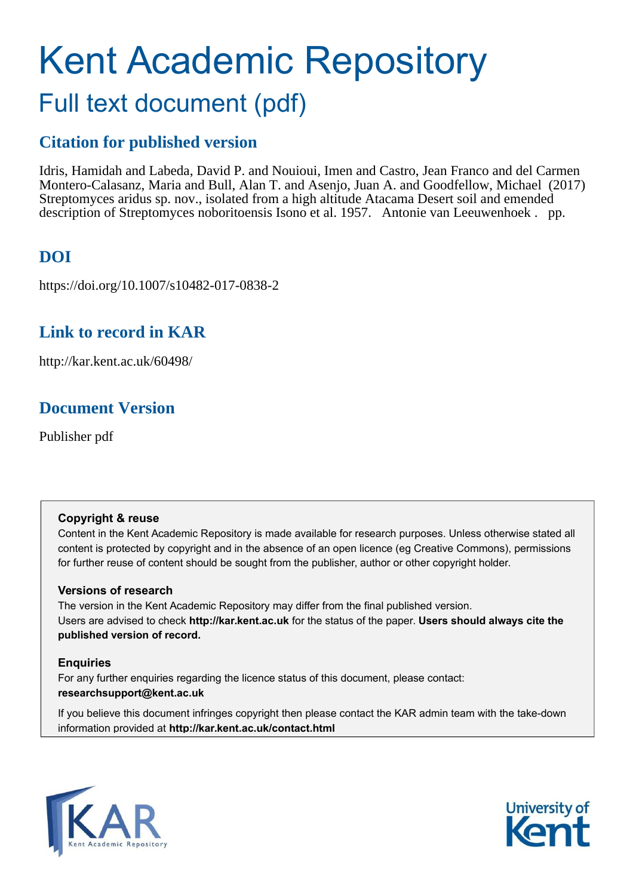# Kent Academic Repository Full text document (pdf)

### **Citation for published version**

Idris, Hamidah and Labeda, David P. and Nouioui, Imen and Castro, Jean Franco and del Carmen Montero-Calasanz, Maria and Bull, Alan T. and Asenjo, Juan A. and Goodfellow, Michael (2017) Streptomyces aridus sp. nov., isolated from a high altitude Atacama Desert soil and emended description of Streptomyces noboritoensis Isono et al. 1957. Antonie van Leeuwenhoek . pp.

# **DOI**

https://doi.org/10.1007/s10482-017-0838-2

# **Link to record in KAR**

http://kar.kent.ac.uk/60498/

# **Document Version**

Publisher pdf

### **Copyright & reuse**

Content in the Kent Academic Repository is made available for research purposes. Unless otherwise stated all content is protected by copyright and in the absence of an open licence (eg Creative Commons), permissions for further reuse of content should be sought from the publisher, author or other copyright holder.

### **Versions of research**

The version in the Kent Academic Repository may differ from the final published version. Users are advised to check **http://kar.kent.ac.uk** for the status of the paper. **Users should always cite the published version of record.**

### **Enquiries**

For any further enquiries regarding the licence status of this document, please contact: **researchsupport@kent.ac.uk**

If you believe this document infringes copyright then please contact the KAR admin team with the take-down information provided at **http://kar.kent.ac.uk/contact.html**



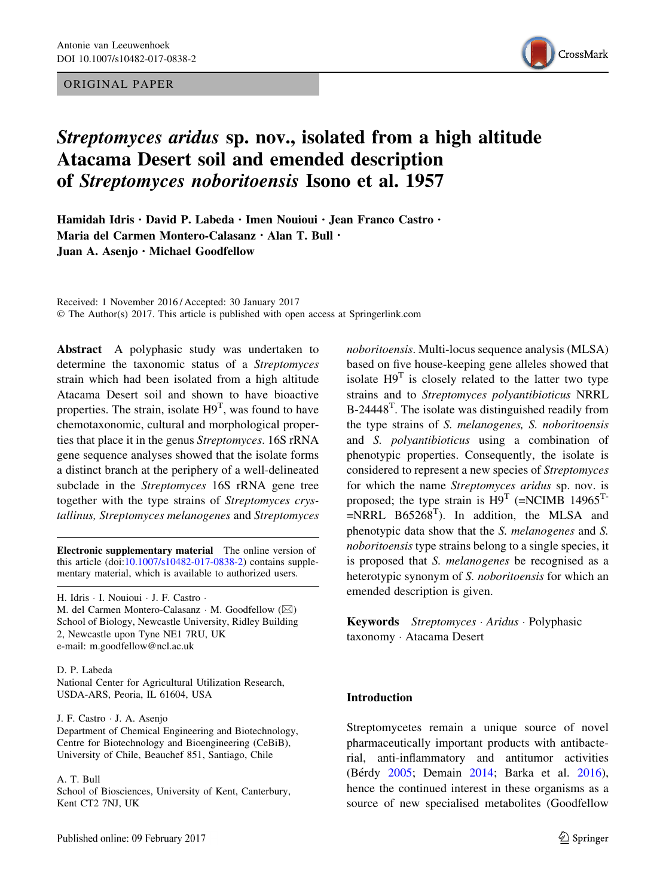#### ORIGINAL PAPER



### Streptomyces aridus sp. nov., isolated from a high altitude Atacama Desert soil and emended description of Streptomyces noboritoensis Isono et al. 1957

Hamidah Idris · David P. Labeda · Imen Nouioui · Jean Franco Castro · Maria del Carmen Montero-Calasanz · Alan T. Bull · Juan A. Asenjo · Michael Goodfellow

Received: 1 November 2016 / Accepted: 30 January 2017 © The Author(s) 2017. This article is published with open access at Springerlink.com

Abstract A polyphasic study was undertaken to determine the taxonomic status of a Streptomyces strain which had been isolated from a high altitude Atacama Desert soil and shown to have bioactive properties. The strain, isolate  $H9^T$ , was found to have chemotaxonomic, cultural and morphological properties that place it in the genus Streptomyces. 16S rRNA gene sequence analyses showed that the isolate forms a distinct branch at the periphery of a well-delineated subclade in the Streptomyces 16S rRNA gene tree together with the type strains of Streptomyces crystallinus, Streptomyces melanogenes and Streptomyces

Electronic supplementary material The online version of this article (doi[:10.1007/s10482-017-0838-2\)](http://dx.doi.org/10.1007/s10482-017-0838-2) contains supplementary material, which is available to authorized users.

H. Idris - I. Nouioui - J. F. Castro -

M. del Carmen Montero-Calasanz · M. Goodfellow ( $\boxtimes$ ) School of Biology, Newcastle University, Ridley Building 2, Newcastle upon Tyne NE1 7RU, UK e-mail: m.goodfellow@ncl.ac.uk

D. P. Labeda

National Center for Agricultural Utilization Research, USDA-ARS, Peoria, IL 61604, USA

J. F. Castro - J. A. Asenjo

Department of Chemical Engineering and Biotechnology, Centre for Biotechnology and Bioengineering (CeBiB), University of Chile, Beauchef 851, Santiago, Chile

#### A. T. Bull

School of Biosciences, University of Kent, Canterbury, Kent CT2 7NJ, UK

noboritoensis. Multi-locus sequence analysis (MLSA) based on five house-keeping gene alleles showed that isolate  $H9<sup>T</sup>$  is closely related to the latter two type strains and to Streptomyces polyantibioticus NRRL  $B-24448$ <sup>T</sup>. The isolate was distinguished readily from the type strains of S. melanogenes, S. noboritoensis and S. polyantibioticus using a combination of phenotypic properties. Consequently, the isolate is considered to represent a new species of Streptomyces for which the name Streptomyces aridus sp. nov. is proposed; the type strain is  $H9^T$  (=NCIMB 14965<sup>T-</sup>  $=$ NRRL B65268<sup>T</sup>). In addition, the MLSA and phenotypic data show that the S. melanogenes and S. noboritoensis type strains belong to a single species, it is proposed that S. melanogenes be recognised as a heterotypic synonym of S. noboritoensis for which an emended description is given.

Keywords Streptomyces · Aridus · Polyphasic taxonomy - Atacama Desert

#### Introduction

Streptomycetes remain a unique source of novel pharmaceutically important products with antibacterial, anti-inflammatory and antitumor activities (Bérdy [2005;](#page-10-0) Demain [2014;](#page-10-0) Barka et al. [2016](#page-10-0)), hence the continued interest in these organisms as a source of new specialised metabolites (Goodfellow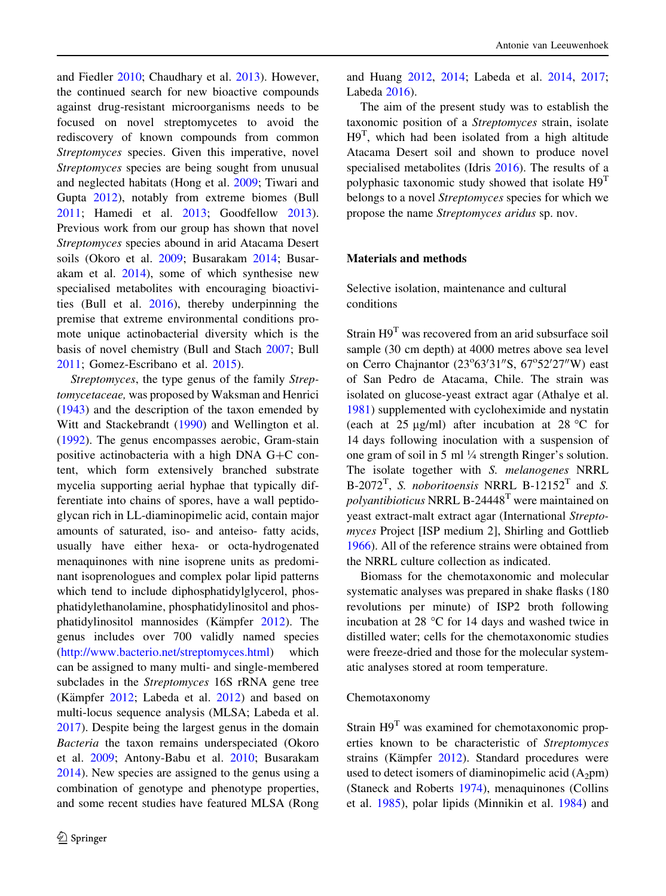and Fiedler [2010](#page-10-0); Chaudhary et al. [2013\)](#page-10-0). However, the continued search for new bioactive compounds against drug-resistant microorganisms needs to be focused on novel streptomycetes to avoid the rediscovery of known compounds from common Streptomyces species. Given this imperative, novel Streptomyces species are being sought from unusual and neglected habitats (Hong et al. [2009](#page-11-0); Tiwari and Gupta [2012\)](#page-12-0), notably from extreme biomes (Bull [2011;](#page-10-0) Hamedi et al. [2013](#page-11-0); Goodfellow [2013](#page-10-0)). Previous work from our group has shown that novel Streptomyces species abound in arid Atacama Desert soils (Okoro et al. [2009](#page-11-0); Busarakam [2014;](#page-10-0) Busarakam et al. [2014](#page-10-0)), some of which synthesise new specialised metabolites with encouraging bioactivities (Bull et al. [2016\)](#page-10-0), thereby underpinning the premise that extreme environmental conditions promote unique actinobacterial diversity which is the basis of novel chemistry (Bull and Stach [2007;](#page-10-0) Bull [2011;](#page-10-0) Gomez-Escribano et al. [2015\)](#page-10-0).

Streptomyces, the type genus of the family Streptomycetaceae, was proposed by Waksman and Henrici [\(1943](#page-12-0)) and the description of the taxon emended by Witt and Stackebrandt ([1990\)](#page-12-0) and Wellington et al. [\(1992](#page-12-0)). The genus encompasses aerobic, Gram-stain positive actinobacteria with a high DNA  $G+C$  content, which form extensively branched substrate mycelia supporting aerial hyphae that typically differentiate into chains of spores, have a wall peptidoglycan rich in LL-diaminopimelic acid, contain major amounts of saturated, iso- and anteiso- fatty acids, usually have either hexa- or octa-hydrogenated menaquinones with nine isoprene units as predominant isoprenologues and complex polar lipid patterns which tend to include diphosphatidylglycerol, phosphatidylethanolamine, phosphatidylinositol and phosphatidylinositol mannosides (Kämpfer  $2012$ ). The genus includes over 700 validly named species [\(http://www.bacterio.net/streptomyces.html\)](http://www.bacterio.net/streptomyces.html) which can be assigned to many multi- and single-membered subclades in the *Streptomyces* 16S rRNA gene tree (Kämpfer  $2012$ ; Labeda et al.  $2012$ ) and based on multi-locus sequence analysis (MLSA; Labeda et al. [2017\)](#page-11-0). Despite being the largest genus in the domain Bacteria the taxon remains underspeciated (Okoro et al. [2009](#page-11-0); Antony-Babu et al. [2010](#page-10-0); Busarakam [2014\)](#page-10-0). New species are assigned to the genus using a combination of genotype and phenotype properties, and some recent studies have featured MLSA (Rong

and Huang [2012](#page-11-0), [2014](#page-12-0); Labeda et al. [2014](#page-11-0), [2017](#page-11-0); Labeda [2016](#page-11-0)).

The aim of the present study was to establish the taxonomic position of a Streptomyces strain, isolate  $H9<sup>T</sup>$ , which had been isolated from a high altitude Atacama Desert soil and shown to produce novel specialised metabolites (Idris [2016\)](#page-11-0). The results of a polyphasic taxonomic study showed that isolate  $H9<sup>T</sup>$ belongs to a novel Streptomyces species for which we propose the name Streptomyces aridus sp. nov.

#### Materials and methods

Selective isolation, maintenance and cultural conditions

Strain H9<sup>T</sup> was recovered from an arid subsurface soil sample (30 cm depth) at 4000 metres above sea level on Cerro Chajnantor (23°63'31"S, 67°52'27"W) east of San Pedro de Atacama, Chile. The strain was isolated on glucose-yeast extract agar (Athalye et al. [1981\)](#page-10-0) supplemented with cycloheximide and nystatin (each at 25  $\mu$ g/ml) after incubation at 28 °C for 14 days following inoculation with a suspension of one gram of soil in 5 ml 1/4 strength Ringer's solution. The isolate together with S. melanogenes NRRL B-2072<sup>T</sup>, *S. noboritoensis* NRRL B-12152<sup>T</sup> and *S.*  $polyantibioticus NRRL B-24448<sup>T</sup>$  were maintained on yeast extract-malt extract agar (International Streptomyces Project [ISP medium 2], Shirling and Gottlieb [1966\)](#page-12-0). All of the reference strains were obtained from the NRRL culture collection as indicated.

Biomass for the chemotaxonomic and molecular systematic analyses was prepared in shake flasks (180 revolutions per minute) of ISP2 broth following incubation at 28  $\degree$ C for 14 days and washed twice in distilled water; cells for the chemotaxonomic studies were freeze-dried and those for the molecular systematic analyses stored at room temperature.

#### Chemotaxonomy

Strain H9<sup>T</sup> was examined for chemotaxonomic properties known to be characteristic of Streptomyces strains (Kämpfer  $2012$ ). Standard procedures were used to detect isomers of diaminopimelic acid  $(A_2pm)$ (Staneck and Roberts [1974\)](#page-12-0), menaquinones (Collins et al. [1985\)](#page-10-0), polar lipids (Minnikin et al. [1984\)](#page-11-0) and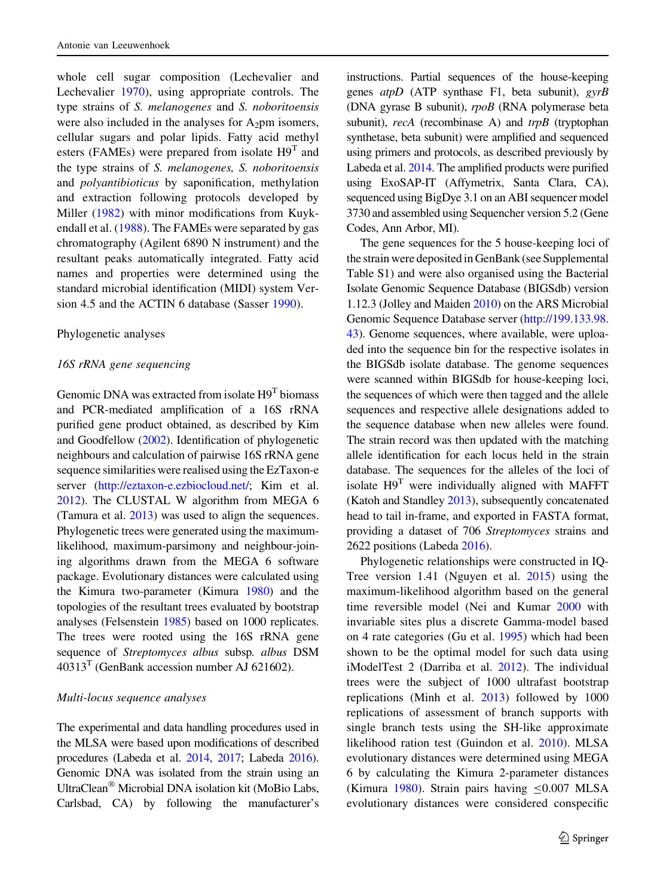<span id="page-3-0"></span>whole cell sugar composition (Lechevalier and Lechevalier [1970](#page-11-0)), using appropriate controls. The type strains of S. melanogenes and S. noboritoensis were also included in the analyses for  $A_2$ pm isomers, cellular sugars and polar lipids. Fatty acid methyl esters (FAMEs) were prepared from isolate  $H9^T$  and the type strains of S. melanogenes, S. noboritoensis and polyantibioticus by saponification, methylation and extraction following protocols developed by Miller ([1982\)](#page-11-0) with minor modifications from Kuykendall et al. [\(1988](#page-11-0)). The FAMEs were separated by gas chromatography (Agilent 6890 N instrument) and the resultant peaks automatically integrated. Fatty acid names and properties were determined using the standard microbial identification (MIDI) system Version 4.5 and the ACTIN 6 database (Sasser [1990\)](#page-12-0).

#### Phylogenetic analyses

#### 16S rRNA gene sequencing

Genomic DNA was extracted from isolate  $H9<sup>T</sup>$  biomass and PCR-mediated amplification of a 16S rRNA purified gene product obtained, as described by Kim and Goodfellow [\(2002\)](#page-11-0). Identification of phylogenetic neighbours and calculation of pairwise 16S rRNA gene sequence similarities were realised using the EzTaxon-e server ([http://eztaxon-e.ezbiocloud.net/;](http://eztaxon-e.ezbiocloud.net/) Kim et al. [2012](#page-11-0)). The CLUSTAL W algorithm from MEGA 6 (Tamura et al. [2013](#page-12-0)) was used to align the sequences. Phylogenetic trees were generated using the maximumlikelihood, maximum-parsimony and neighbour-joining algorithms drawn from the MEGA 6 software package. Evolutionary distances were calculated using the Kimura two-parameter (Kimura [1980](#page-11-0)) and the topologies of the resultant trees evaluated by bootstrap analyses (Felsenstein [1985\)](#page-10-0) based on 1000 replicates. The trees were rooted using the 16S rRNA gene sequence of Streptomyces albus subsp. albus DSM  $40313<sup>T</sup>$  (GenBank accession number AJ 621602).

#### Multi-locus sequence analyses

The experimental and data handling procedures used in the MLSA were based upon modifications of described procedures (Labeda et al. [2014](#page-11-0), [2017;](#page-11-0) Labeda [2016\)](#page-11-0). Genomic DNA was isolated from the strain using an UltraClean<sup>®</sup> Microbial DNA isolation kit (MoBio Labs, Carlsbad, CA) by following the manufacturer's instructions. Partial sequences of the house-keeping genes  $atpD$  (ATP synthase F1, beta subunit),  $gyrB$ (DNA gyrase B subunit), rpoB (RNA polymerase beta subunit), recA (recombinase A) and trpB (tryptophan synthetase, beta subunit) were amplified and sequenced using primers and protocols, as described previously by Labeda et al. [2014.](#page-11-0) The amplified products were purified using ExoSAP-IT (Affymetrix, Santa Clara, CA), sequenced using BigDye 3.1 on an ABI sequencer model 3730 and assembled using Sequencher version 5.2 (Gene Codes, Ann Arbor, MI).

The gene sequences for the 5 house-keeping loci of the strain were deposited in GenBank (see Supplemental Table S1) and were also organised using the Bacterial Isolate Genomic Sequence Database (BIGSdb) version 1.12.3 (Jolley and Maiden [2010\)](#page-11-0) on the ARS Microbial Genomic Sequence Database server ([http://199.133.98.](http://199.133.98.43) [43\)](http://199.133.98.43). Genome sequences, where available, were uploaded into the sequence bin for the respective isolates in the BIGSdb isolate database. The genome sequences were scanned within BIGSdb for house-keeping loci, the sequences of which were then tagged and the allele sequences and respective allele designations added to the sequence database when new alleles were found. The strain record was then updated with the matching allele identification for each locus held in the strain database. The sequences for the alleles of the loci of isolate  $H9<sup>T</sup>$  were individually aligned with MAFFT (Katoh and Standley [2013](#page-11-0)), subsequently concatenated head to tail in-frame, and exported in FASTA format, providing a dataset of 706 Streptomyces strains and 2622 positions (Labeda [2016\)](#page-11-0).

Phylogenetic relationships were constructed in IQ-Tree version 1.41 (Nguyen et al. [2015\)](#page-11-0) using the maximum-likelihood algorithm based on the general time reversible model (Nei and Kumar [2000](#page-11-0) with invariable sites plus a discrete Gamma-model based on 4 rate categories (Gu et al. [1995\)](#page-10-0) which had been shown to be the optimal model for such data using iModelTest 2 (Darriba et al. [2012](#page-10-0)). The individual trees were the subject of 1000 ultrafast bootstrap replications (Minh et al. [2013](#page-11-0)) followed by 1000 replications of assessment of branch supports with single branch tests using the SH-like approximate likelihood ration test (Guindon et al. [2010\)](#page-11-0). MLSA evolutionary distances were determined using MEGA 6 by calculating the Kimura 2-parameter distances (Kimura [1980](#page-11-0)). Strain pairs having  $\leq 0.007$  MLSA evolutionary distances were considered conspecific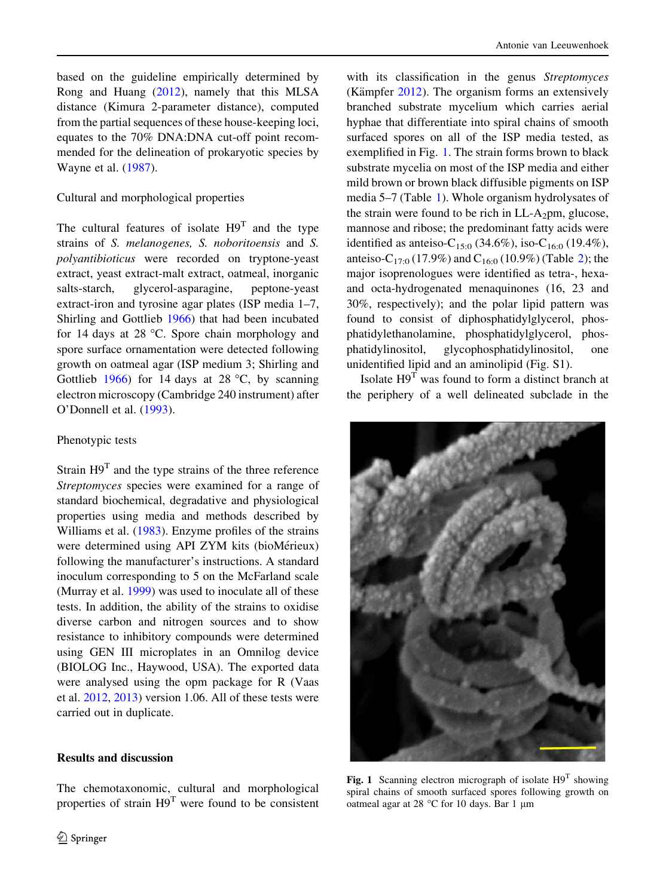<span id="page-4-0"></span>based on the guideline empirically determined by Rong and Huang ([2012\)](#page-11-0), namely that this MLSA distance (Kimura 2-parameter distance), computed from the partial sequences of these house-keeping loci, equates to the 70% DNA:DNA cut-off point recommended for the delineation of prokaryotic species by Wayne et al. ([1987\)](#page-12-0).

#### Cultural and morphological properties

The cultural features of isolate  $H9<sup>T</sup>$  and the type strains of S. melanogenes, S. noboritoensis and S. polyantibioticus were recorded on tryptone-yeast extract, yeast extract-malt extract, oatmeal, inorganic salts-starch, glycerol-asparagine, peptone-yeast extract-iron and tyrosine agar plates (ISP media 1–7, Shirling and Gottlieb [1966](#page-12-0)) that had been incubated for 14 days at 28  $^{\circ}$ C. Spore chain morphology and spore surface ornamentation were detected following growth on oatmeal agar (ISP medium 3; Shirling and Gottlieb [1966\)](#page-12-0) for 14 days at 28  $^{\circ}$ C, by scanning electron microscopy (Cambridge 240 instrument) after O'Donnell et al. [\(1993](#page-11-0)).

#### Phenotypic tests

Strain  $H9<sup>T</sup>$  and the type strains of the three reference Streptomyces species were examined for a range of standard biochemical, degradative and physiological properties using media and methods described by Williams et al. ([1983\)](#page-12-0). Enzyme profiles of the strains were determined using API ZYM kits (bioMérieux) following the manufacturer's instructions. A standard inoculum corresponding to 5 on the McFarland scale (Murray et al. [1999](#page-11-0)) was used to inoculate all of these tests. In addition, the ability of the strains to oxidise diverse carbon and nitrogen sources and to show resistance to inhibitory compounds were determined using GEN III microplates in an Omnilog device (BIOLOG Inc., Haywood, USA). The exported data were analysed using the opm package for R (Vaas et al. [2012,](#page-12-0) [2013\)](#page-12-0) version 1.06. All of these tests were carried out in duplicate.

#### Results and discussion

The chemotaxonomic, cultural and morphological properties of strain  $H9<sup>T</sup>$  were found to be consistent with its classification in the genus Streptomyces (Kämpfer  $2012$ ). The organism forms an extensively branched substrate mycelium which carries aerial hyphae that differentiate into spiral chains of smooth surfaced spores on all of the ISP media tested, as exemplified in Fig. [1](#page-3-0). The strain forms brown to black substrate mycelia on most of the ISP media and either mild brown or brown black diffusible pigments on ISP media 5–7 (Table 1). Whole organism hydrolysates of the strain were found to be rich in  $LL-A_2$ pm, glucose, mannose and ribose; the predominant fatty acids were identified as anteiso-C<sub>15:0</sub> (34.6%), iso-C<sub>16:0</sub> (19.4%), anteiso-C<sub>17:0</sub> (17.9%) and C<sub>16:0</sub> (10.9%) (Table [2\)](#page-5-0); the major isoprenologues were identified as tetra-, hexaand octa-hydrogenated menaquinones (16, 23 and 30%, respectively); and the polar lipid pattern was found to consist of diphosphatidylglycerol, phosphatidylethanolamine, phosphatidylglycerol, phosphatidylinositol, glycophosphatidylinositol, one unidentified lipid and an aminolipid (Fig. S1).

Isolate  $H9<sup>T</sup>$  was found to form a distinct branch at the periphery of a well delineated subclade in the



Fig. 1 Scanning electron micrograph of isolate  $H9^T$  showing spiral chains of smooth surfaced spores following growth on oatmeal agar at 28  $^{\circ}$ C for 10 days. Bar 1 µm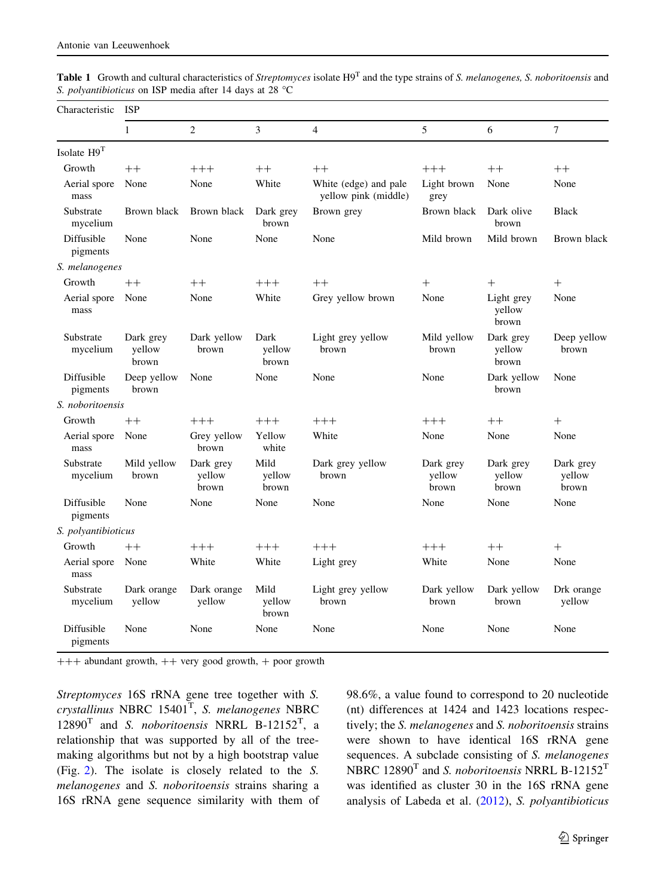<span id="page-5-0"></span>

| Table 1 Growth and cultural characteristics of Streptomyces isolate H9 <sup>T</sup> and the type strains of S. melanogenes, S. noboritoensis and |  |  |
|--------------------------------------------------------------------------------------------------------------------------------------------------|--|--|
| S. <i>polyantibioticus</i> on ISP media after 14 days at 28 $^{\circ}$ C                                                                         |  |  |

| Characteristic         | <b>ISP</b>                   |                              |                         |                                               |                              |                               |                              |  |
|------------------------|------------------------------|------------------------------|-------------------------|-----------------------------------------------|------------------------------|-------------------------------|------------------------------|--|
|                        | $\mathbf{1}$                 | $\overline{2}$               | $\overline{3}$          | $\overline{4}$                                | 5                            | 6                             | $\overline{7}$               |  |
| Isolate H9T            |                              |                              |                         |                                               |                              |                               |                              |  |
| Growth                 | $++$                         | $+++$                        | $++$                    | $++$                                          | $+++$                        | $++$                          | $++$                         |  |
| Aerial spore<br>mass   | None                         | None                         | White                   | White (edge) and pale<br>yellow pink (middle) | Light brown<br>grey          | None                          | None                         |  |
| Substrate<br>mycelium  | Brown black                  | Brown black                  | Dark grey<br>brown      | Brown grey                                    | Brown black                  | Dark olive<br>brown           | <b>Black</b>                 |  |
| Diffusible<br>pigments | None                         | None                         | None                    | None                                          | Mild brown                   | Mild brown                    | Brown black                  |  |
| S. melanogenes         |                              |                              |                         |                                               |                              |                               |                              |  |
| Growth                 | $++$                         | $++$                         | $+++$                   | $++$                                          | $^{+}$                       | $+$                           | $^{+}$                       |  |
| Aerial spore<br>mass   | None                         | None                         | White                   | Grey yellow brown                             | None                         | Light grey<br>yellow<br>brown | None                         |  |
| Substrate<br>mycelium  | Dark grey<br>yellow<br>brown | Dark yellow<br>brown         | Dark<br>yellow<br>brown | Light grey yellow<br>brown                    | Mild yellow<br>brown         | Dark grey<br>yellow<br>brown  | Deep yellow<br>brown         |  |
| Diffusible<br>pigments | Deep yellow<br>brown         | None                         | None                    | None                                          | None                         | Dark yellow<br>brown          | None                         |  |
| S. noboritoensis       |                              |                              |                         |                                               |                              |                               |                              |  |
| Growth                 | $++$                         | $+++$                        | $+++$                   | $+++$                                         | $+++$                        | $++$                          | $^{+}$                       |  |
| Aerial spore<br>mass   | None                         | Grey yellow<br>brown         | Yellow<br>white         | White                                         | None                         | None                          | None                         |  |
| Substrate<br>mycelium  | Mild yellow<br>brown         | Dark grey<br>yellow<br>brown | Mild<br>yellow<br>brown | Dark grey yellow<br>brown                     | Dark grey<br>yellow<br>brown | Dark grey<br>yellow<br>brown  | Dark grey<br>yellow<br>brown |  |
| Diffusible<br>pigments | None                         | None                         | None                    | None                                          | None                         | None                          | None                         |  |
| S. polyantibioticus    |                              |                              |                         |                                               |                              |                               |                              |  |
| Growth                 | $++$                         | $+++$                        | $+++$                   | $+++$                                         | $+++$                        | $++$                          | $^{+}$                       |  |
| Aerial spore<br>mass   | None                         | White                        | White                   | Light grey                                    | White                        | None                          | None                         |  |
| Substrate<br>mycelium  | Dark orange<br>yellow        | Dark orange<br>yellow        | Mild<br>yellow<br>brown | Light grey yellow<br>brown                    | Dark yellow<br>brown         | Dark yellow<br>brown          | Drk orange<br>yellow         |  |
| Diffusible<br>pigments | None                         | None                         | None                    | None                                          | None                         | None                          | None                         |  |

 $+++$  abundant growth,  $++$  very good growth,  $+$  poor growth

Streptomyces 16S rRNA gene tree together with S.  $crystallinus$  NBRC  $15401<sup>T</sup>$ , *S. melanogenes* NBRC  $12890<sup>T</sup>$  and *S. noboritoensis* NRRL B-12152<sup>T</sup>, a relationship that was supported by all of the treemaking algorithms but not by a high bootstrap value (Fig. [2](#page-6-0)). The isolate is closely related to the S. melanogenes and S. noboritoensis strains sharing a 16S rRNA gene sequence similarity with them of 98.6%, a value found to correspond to 20 nucleotide (nt) differences at 1424 and 1423 locations respectively; the S. melanogenes and S. noboritoensis strains were shown to have identical 16S rRNA gene sequences. A subclade consisting of S. melanogenes NBRC  $12890<sup>T</sup>$  and *S. noboritoensis* NRRL B-12152<sup>T</sup> was identified as cluster 30 in the 16S rRNA gene analysis of Labeda et al. ([2012\)](#page-11-0), S. polyantibioticus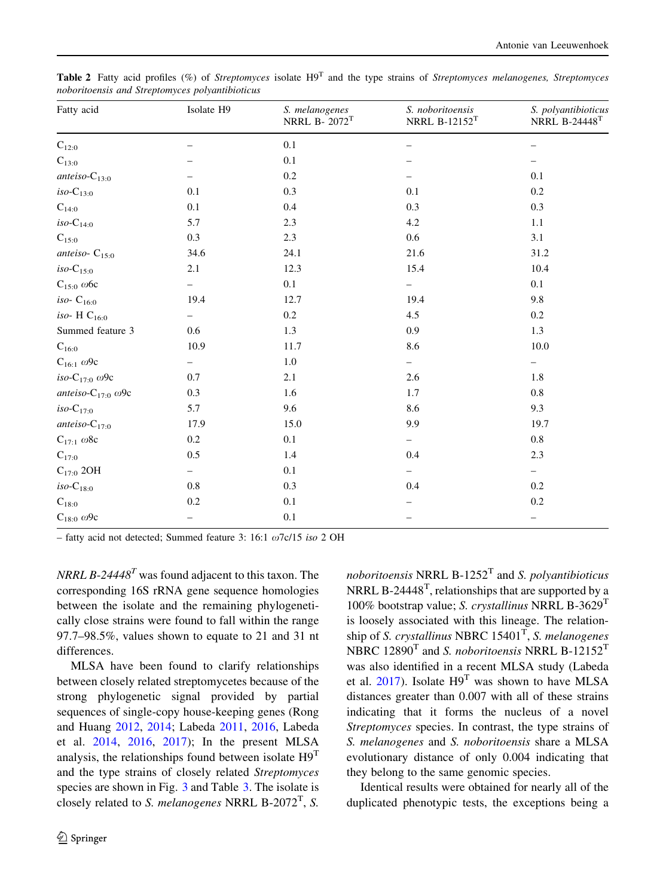| Fatty acid                        | Isolate H9               | S. melanogenes<br>NRRL B- $2072$ <sup>T</sup> | S. noboritoensis<br>NRRL B-12152 $T$ | S. polyantibioticus<br>NRRL B-24448 $T$ |  |
|-----------------------------------|--------------------------|-----------------------------------------------|--------------------------------------|-----------------------------------------|--|
| $C_{12:0}$                        |                          | 0.1                                           |                                      |                                         |  |
| $\mathrm{C}_{13:0}$               |                          | 0.1                                           |                                      |                                         |  |
| anteiso- $C_{13:0}$               |                          | 0.2                                           |                                      | 0.1                                     |  |
| $iso-C_{13:0}$                    | 0.1                      | 0.3                                           | 0.1                                  | 0.2                                     |  |
| $C_{14:0}$                        | 0.1                      | 0.4                                           | 0.3                                  | 0.3                                     |  |
| $iso-C_{14:0}$                    | 5.7                      | 2.3                                           | 4.2                                  | 1.1                                     |  |
| $\mathrm{C}_{15:0}$               | 0.3                      | 2.3                                           | 0.6                                  | 3.1                                     |  |
| anteiso- $C_{15:0}$               | 34.6                     | 24.1                                          | 21.6                                 | 31.2                                    |  |
| $iso-C_{15:0}$                    | 2.1                      | 12.3                                          | 15.4                                 | 10.4                                    |  |
| $C_{15:0}$ ω6c                    |                          | 0.1                                           |                                      | 0.1                                     |  |
| iso- $C_{16:0}$                   | 19.4                     | 12.7                                          | 19.4                                 | 9.8                                     |  |
| iso- H $C_{16:0}$                 | -                        | 0.2                                           | 4.5                                  | 0.2                                     |  |
| Summed feature 3                  | 0.6                      | 1.3                                           | 0.9                                  | 1.3                                     |  |
| $\mathrm{C}_{16:0}$               | 10.9                     | 11.7                                          | 8.6                                  | 10.0                                    |  |
| $C_{16:1}$ ω9c                    | $\overline{\phantom{0}}$ | $1.0\,$                                       | -                                    | $\overline{\phantom{0}}$                |  |
| iso-C <sub>17:0</sub> $\omega$ 9c | 0.7                      | 2.1                                           | 2.6                                  | 1.8                                     |  |
| anteiso- $C_{17:0}$ ω9c           | 0.3                      | 1.6                                           | 1.7                                  | 0.8                                     |  |
| $iso-C_{17:0}$                    | 5.7                      | 9.6                                           | 8.6                                  | 9.3                                     |  |
| anteiso- $C_{17:0}$               | 17.9                     | 15.0                                          | 9.9                                  | 19.7                                    |  |
| $C_{17:1}$ $\omega$ 8c            | 0.2                      | 0.1                                           | $\qquad \qquad -$                    | 0.8                                     |  |
| $C_{17:0}$                        | 0.5                      | 1.4                                           | 0.4                                  | 2.3                                     |  |
| $C_{17:0}$ 2OH                    |                          | 0.1                                           |                                      |                                         |  |
| $iso-C_{18:0}$                    | 0.8                      | 0.3                                           | 0.4                                  | 0.2                                     |  |
| $C_{18:0}$                        | 0.2                      | 0.1                                           |                                      | 0.2                                     |  |
| $C_{18:0}$ $\omega$ 9c            |                          | $0.1\,$                                       |                                      | $\overline{\phantom{0}}$                |  |

<span id="page-6-0"></span>**Table 2** Fatty acid profiles (%) of Streptomyces isolate  $H9<sup>T</sup>$  and the type strains of Streptomyces melanogenes, Streptomyces noboritoensis and Streptomyces polyantibioticus

– fatty acid not detected; Summed feature 3: 16:1  $\omega$ 7c/15 iso 2 OH

NRRL B-24448<sup>T</sup> was found adjacent to this taxon. The corresponding 16S rRNA gene sequence homologies between the isolate and the remaining phylogenetically close strains were found to fall within the range 97.7–98.5%, values shown to equate to 21 and 31 nt differences.

MLSA have been found to clarify relationships between closely related streptomycetes because of the strong phylogenetic signal provided by partial sequences of single-copy house-keeping genes (Rong and Huang [2012,](#page-11-0) [2014](#page-12-0); Labeda [2011,](#page-11-0) [2016,](#page-11-0) Labeda et al. [2014](#page-11-0), [2016](#page-11-0), [2017\)](#page-11-0); In the present MLSA analysis, the relationships found between isolate  $H9<sup>T</sup>$ and the type strains of closely related Streptomyces species are shown in Fig. 3 and Table [3.](#page-7-0) The isolate is closely related to *S. melanogenes* NRRL B-2072<sup>T</sup>, *S.* 

*noboritoensis* NRRL B-1252<sup>T</sup> and *S. polyantibioticus* NRRL B-24448<sup>T</sup>, relationships that are supported by a 100% bootstrap value; S. crystallinus NRRL B-3629<sup>T</sup> is loosely associated with this lineage. The relationship of S. crystallinus NBRC  $15401<sup>T</sup>$ , S. melanogenes NBRC  $12890<sup>T</sup>$  and *S. noboritoensis* NRRL B-12152<sup>T</sup> was also identified in a recent MLSA study (Labeda et al. [2017](#page-11-0)). Isolate H9<sup>T</sup> was shown to have MLSA distances greater than 0.007 with all of these strains indicating that it forms the nucleus of a novel Streptomyces species. In contrast, the type strains of S. melanogenes and S. noboritoensis share a MLSA evolutionary distance of only 0.004 indicating that they belong to the same genomic species.

Identical results were obtained for nearly all of the duplicated phenotypic tests, the exceptions being a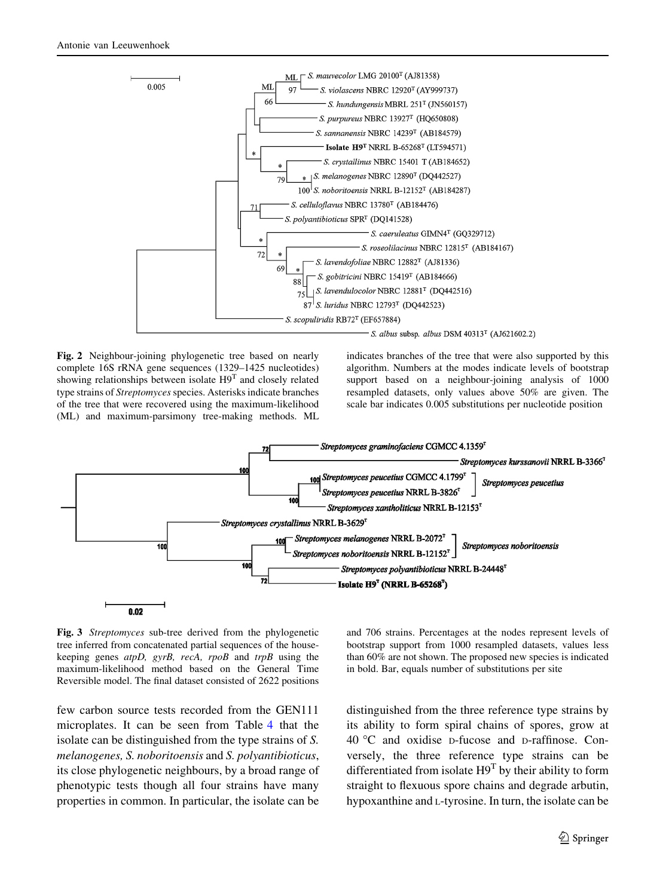<span id="page-7-0"></span>

Fig. 2 Neighbour-joining phylogenetic tree based on nearly complete 16S rRNA gene sequences (1329–1425 nucleotides) showing relationships between isolate H9<sup>T</sup> and closely related type strains of Streptomyces species. Asterisks indicate branches of the tree that were recovered using the maximum-likelihood (ML) and maximum-parsimony tree-making methods. ML indicates branches of the tree that were also supported by this algorithm. Numbers at the modes indicate levels of bootstrap support based on a neighbour-joining analysis of 1000 resampled datasets, only values above 50% are given. The scale bar indicates 0.005 substitutions per nucleotide position



Fig. 3 Streptomyces sub-tree derived from the phylogenetic tree inferred from concatenated partial sequences of the housekeeping genes atpD, gyrB, recA, rpoB and trpB using the maximum-likelihood method based on the General Time Reversible model. The final dataset consisted of 2622 positions

few carbon source tests recorded from the GEN111 microplates. It can be seen from Table [4](#page-8-0) that the isolate can be distinguished from the type strains of S. melanogenes, S. noboritoensis and S. polyantibioticus, its close phylogenetic neighbours, by a broad range of phenotypic tests though all four strains have many properties in common. In particular, the isolate can be and 706 strains. Percentages at the nodes represent levels of bootstrap support from 1000 resampled datasets, values less than 60% are not shown. The proposed new species is indicated in bold. Bar, equals number of substitutions per site

distinguished from the three reference type strains by its ability to form spiral chains of spores, grow at 40 C and oxidise <sup>D</sup>-fucose and <sup>D</sup>-raffinose. Conversely, the three reference type strains can be differentiated from isolate  $H9^T$  by their ability to form straight to flexuous spore chains and degrade arbutin, hypoxanthine and <sup>L</sup>-tyrosine. In turn, the isolate can be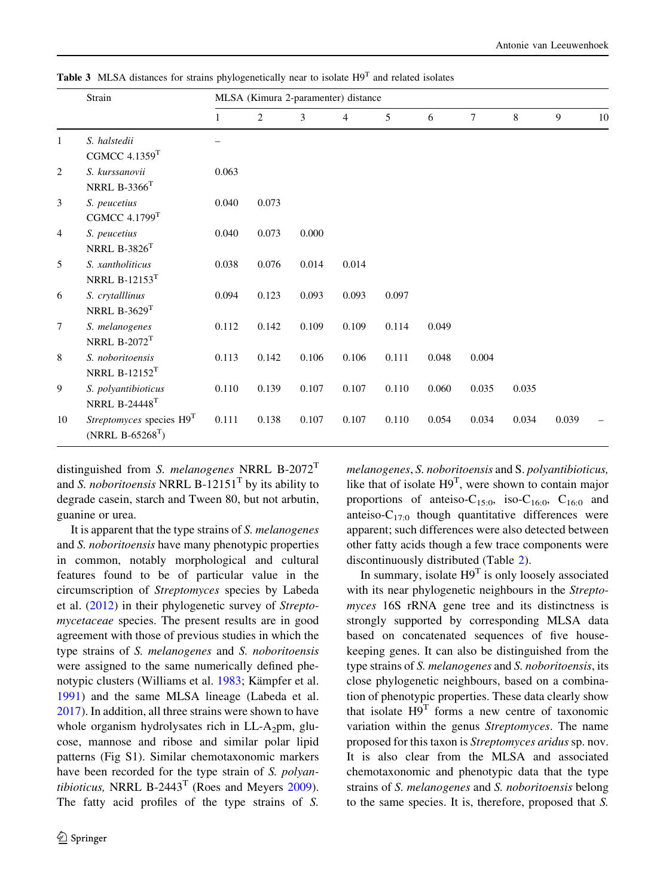<span id="page-8-0"></span>**Table 3** MLSA distances for strains phylogenetically near to isolate  $H9<sup>T</sup>$  and related isolates

|                | Strain                                                 | MLSA (Kimura 2-paramenter) distance |       |       |                |       |       |                |       |                |    |
|----------------|--------------------------------------------------------|-------------------------------------|-------|-------|----------------|-------|-------|----------------|-------|----------------|----|
|                |                                                        | $\mathbf{1}$                        | 2     | 3     | $\overline{4}$ | 5     | 6     | $\overline{7}$ | 8     | $\overline{9}$ | 10 |
| $\mathbf{1}$   | S. halstedii<br>CGMCC $4.1359$ <sup>T</sup>            |                                     |       |       |                |       |       |                |       |                |    |
| 2              | S. kurssanovii<br>NRRL $B-3366$ <sup>T</sup>           | 0.063                               |       |       |                |       |       |                |       |                |    |
| 3              | S. peucetius<br>CGMCC $4.1799$ <sup>T</sup>            | 0.040                               | 0.073 |       |                |       |       |                |       |                |    |
| $\overline{4}$ | S. peucetius<br>NRRL $B-3826$ <sup>T</sup>             | 0.040                               | 0.073 | 0.000 |                |       |       |                |       |                |    |
| $\overline{5}$ | S. xantholiticus<br>NRRL B-12153 $T$                   | 0.038                               | 0.076 | 0.014 | 0.014          |       |       |                |       |                |    |
| 6              | S. crytalllinus<br>NRRL $B-3629$ <sup>T</sup>          | 0.094                               | 0.123 | 0.093 | 0.093          | 0.097 |       |                |       |                |    |
| $\tau$         | S. melanogenes<br>NRRL $B-2072$ <sup>T</sup>           | 0.112                               | 0.142 | 0.109 | 0.109          | 0.114 | 0.049 |                |       |                |    |
| 8              | S. noboritoensis<br>NRRL B-12152 $T$                   | 0.113                               | 0.142 | 0.106 | 0.106          | 0.111 | 0.048 | 0.004          |       |                |    |
| 9              | S. polyantibioticus<br><b>NRRL B-24448<sup>T</sup></b> | 0.110                               | 0.139 | 0.107 | 0.107          | 0.110 | 0.060 | 0.035          | 0.035 |                |    |
| 10             | Streptomyces species H9T<br>(NRRL $B-65268^{T}$ )      | 0.111                               | 0.138 | 0.107 | 0.107          | 0.110 | 0.054 | 0.034          | 0.034 | 0.039          |    |

distinguished from S. melanogenes NRRL B-2072<sup>T</sup> and *S. noboritoensis* NRRL B-12151<sup>T</sup> by its ability to degrade casein, starch and Tween 80, but not arbutin, guanine or urea.

It is apparent that the type strains of S. melanogenes and S. noboritoensis have many phenotypic properties in common, notably morphological and cultural features found to be of particular value in the circumscription of Streptomyces species by Labeda et al. ([2012\)](#page-11-0) in their phylogenetic survey of Streptomycetaceae species. The present results are in good agreement with those of previous studies in which the type strains of S. melanogenes and S. noboritoensis were assigned to the same numerically defined phe-notypic clusters (Williams et al. [1983](#page-12-0); Kämpfer et al. [1991\)](#page-11-0) and the same MLSA lineage (Labeda et al. [2017\)](#page-11-0). In addition, all three strains were shown to have whole organism hydrolysates rich in  $LL-A_2$ pm, glucose, mannose and ribose and similar polar lipid patterns (Fig S1). Similar chemotaxonomic markers have been recorded for the type strain of S. polyantibioticus, NRRL B-2443<sup>T</sup> (Roes and Meyers  $2009$ ). The fatty acid profiles of the type strains of S.

melanogenes, S. noboritoensis and S. polyantibioticus, like that of isolate  $H9^T$ , were shown to contain major proportions of anteiso-C<sub>15:0</sub>, iso-C<sub>16:0</sub>, C<sub>16:0</sub> and anteiso- $C_{17:0}$  though quantitative differences were apparent; such differences were also detected between other fatty acids though a few trace components were discontinuously distributed (Table [2](#page-5-0)).

In summary, isolate  $H9<sup>T</sup>$  is only loosely associated with its near phylogenetic neighbours in the Streptomyces 16S rRNA gene tree and its distinctness is strongly supported by corresponding MLSA data based on concatenated sequences of five housekeeping genes. It can also be distinguished from the type strains of S. melanogenes and S. noboritoensis, its close phylogenetic neighbours, based on a combination of phenotypic properties. These data clearly show that isolate  $H9<sup>T</sup>$  forms a new centre of taxonomic variation within the genus Streptomyces. The name proposed for this taxon is Streptomyces aridus sp. nov. It is also clear from the MLSA and associated chemotaxonomic and phenotypic data that the type strains of S. melanogenes and S. noboritoensis belong to the same species. It is, therefore, proposed that S.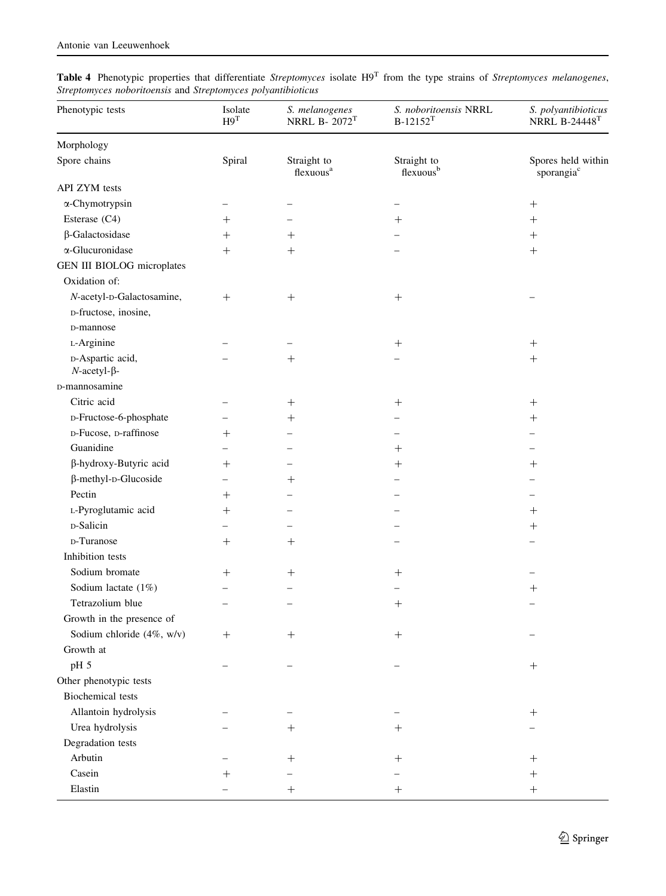| Phenotypic tests                           | Isolate<br>H9 <sup>T</sup>      | S. melanogenes<br>NRRL B-2072 <sup>T</sup> | S. noboritoensis NRRL<br>$B-12152^{T}$ | S. polyantibioticus<br><b>NRRL B-24448T</b>  |
|--------------------------------------------|---------------------------------|--------------------------------------------|----------------------------------------|----------------------------------------------|
| Morphology                                 |                                 |                                            |                                        |                                              |
| Spore chains                               | Spiral                          | Straight to<br>flexuous <sup>a</sup>       | Straight to<br>flexuous <sup>b</sup>   | Spores held within<br>sporangia <sup>c</sup> |
| API ZYM tests                              |                                 |                                            |                                        |                                              |
| α-Chymotrypsin                             |                                 |                                            |                                        |                                              |
| Esterase (C4)                              | $^{+}$                          |                                            | $^{+}$                                 | $^{+}$                                       |
| $\beta$ -Galactosidase                     | $^{+}$                          | $^{+}$                                     |                                        | $\boldsymbol{+}$                             |
| α-Glucuronidase                            | $^{+}$                          | $^{+}$                                     |                                        | $+$                                          |
| GEN III BIOLOG microplates                 |                                 |                                            |                                        |                                              |
| Oxidation of:                              |                                 |                                            |                                        |                                              |
| N-acetyl-D-Galactosamine,                  | $^{+}$                          | $+$                                        | $+$                                    |                                              |
| D-fructose, inosine,                       |                                 |                                            |                                        |                                              |
| D-mannose                                  |                                 |                                            |                                        |                                              |
| L-Arginine                                 |                                 |                                            | $+$                                    | $\! + \!$                                    |
| D-Aspartic acid,<br>$N$ -acetyl- $\beta$ - |                                 | $^{+}$                                     |                                        |                                              |
| D-mannosamine                              |                                 |                                            |                                        |                                              |
| Citric acid                                |                                 | $^+$                                       | $^{+}$                                 | $^+$                                         |
| D-Fructose-6-phosphate                     |                                 | $^+$                                       |                                        | $^{+}$                                       |
| D-Fucose, D-raffinose                      | $\hspace{.1cm} + \hspace{.1cm}$ |                                            |                                        |                                              |
| Guanidine                                  |                                 |                                            | $^{+}$                                 |                                              |
| β-hydroxy-Butyric acid                     | $+$                             |                                            | $^{+}$                                 | $^{+}$                                       |
| β-methyl-D-Glucoside                       |                                 | $^{+}$                                     |                                        |                                              |
| Pectin                                     | $^{+}$                          |                                            |                                        |                                              |
| L-Pyroglutamic acid                        | $\hspace{0.1mm} +$              |                                            |                                        | $^{+}$                                       |
| D-Salicin                                  |                                 |                                            |                                        | $+$                                          |
| D-Turanose                                 | $^+$                            | $^+$                                       |                                        |                                              |
| Inhibition tests                           |                                 |                                            |                                        |                                              |
| Sodium bromate                             | $^{+}$                          | $\hspace{0.1mm} +$                         | $^{+}$                                 |                                              |
| Sodium lactate (1%)                        |                                 |                                            |                                        | $^{+}$                                       |
| Tetrazolium blue                           |                                 |                                            | $^{+}$                                 |                                              |
| Growth in the presence of                  |                                 |                                            |                                        |                                              |
| Sodium chloride (4%, w/v)                  | $^{+}$                          | $^{+}$                                     | $+$                                    |                                              |
| Growth at                                  |                                 |                                            |                                        |                                              |
| pH 5                                       |                                 |                                            |                                        | $\hspace{0.1mm} +$                           |
| Other phenotypic tests                     |                                 |                                            |                                        |                                              |
| <b>Biochemical</b> tests                   |                                 |                                            |                                        |                                              |
| Allantoin hydrolysis                       |                                 |                                            |                                        | $+$                                          |
| Urea hydrolysis                            |                                 | $\hspace{0.1mm} +$                         | $\hspace{0.1mm} +$                     |                                              |
| Degradation tests                          |                                 |                                            |                                        |                                              |
| Arbutin                                    |                                 | $^+$                                       | $\hspace{0.1mm} +$                     | $\hspace{0.1mm} +$                           |
| Casein                                     |                                 |                                            |                                        | $\hspace{0.1mm} +$                           |
| Elastin                                    |                                 |                                            | ┿                                      | $\hspace{0.1mm} +$                           |

**Table 4** Phenotypic properties that differentiate *Streptomyces* isolate  $H9<sup>T</sup>$  from the type strains of *Streptomyces melanogenes*, Streptomyces noboritoensis and Streptomyces polyantibioticus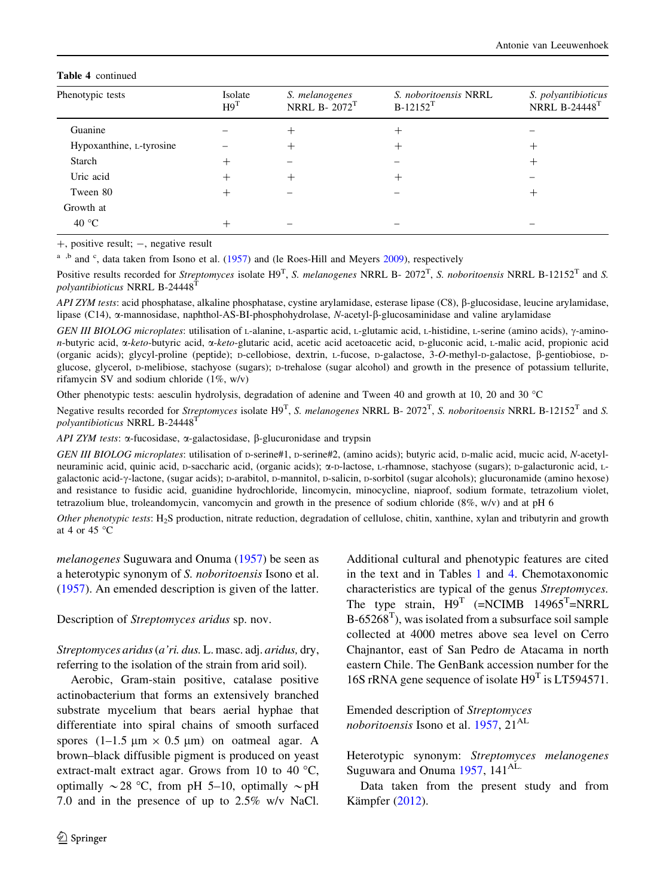#### <span id="page-10-0"></span>Table 4 continued

| Phenotypic tests         | Isolate<br>H9 <sup>T</sup> | S. melanogenes<br>NRRL B-2072 <sup>T</sup> | S. noboritoensis NRRL<br>$B-12152^T$ | S. polyantibioticus<br><b>NRRL B-24448T</b> |  |
|--------------------------|----------------------------|--------------------------------------------|--------------------------------------|---------------------------------------------|--|
| Guanine                  |                            |                                            | ┿                                    |                                             |  |
| Hypoxanthine, L-tyrosine |                            |                                            | ┿                                    | $^+$                                        |  |
| Starch                   | ┿                          |                                            |                                      | +                                           |  |
| Uric acid                |                            |                                            | +                                    |                                             |  |
| Tween 80                 |                            |                                            |                                      | $^+$                                        |  |
| Growth at                |                            |                                            |                                      |                                             |  |
| 40 $\degree$ C           |                            |                                            |                                      |                                             |  |

 $+$ , positive result;  $-$ , negative result

 $a$ , b and  $c$ , data taken from Isono et al. [\(1957](#page-11-0)) and (le Roes-Hill and Meyers [2009](#page-11-0)), respectively

Positive results recorded for *Streptomyces* isolate  $H9^T$ , *S. melanogenes* NRRL B- 2072<sup>T</sup>, *S. noboritoensis* NRRL B-12152<sup>T</sup> and *S.* polyantibioticus NRRL B-24448<sup>1</sup>

API ZYM tests: acid phosphatase, alkaline phosphatase, cystine arylamidase, esterase lipase (C8),  $\beta$ -glucosidase, leucine arylamidase, lipase (C14),  $\alpha$ -mannosidase, naphthol-AS-BI-phosphohydrolase, N-acetyl- $\beta$ -glucosaminidase and valine arylamidase

GEN III BIOLOG microplates: utilisation of L-alanine, L-aspartic acid, L-glutamic acid, L-histidine, L-serine (amino acids), y-aminon-butyric acid,  $\alpha$ -keto-butyric acid,  $\alpha$ -keto-glutaric acid, acetic acid acetoacetic acid, D-gluconic acid, L-malic acid, propionic acid (organic acids); glycyl-proline (peptide); <sup>D</sup>-cellobiose, dextrin, <sup>L</sup>-fucose, <sup>D</sup>-galactose, 3-O-methyl-D-galactose, b-gentiobiose, <sup>D</sup>glucose, glycerol, <sup>D</sup>-melibiose, stachyose (sugars); <sup>D</sup>-trehalose (sugar alcohol) and growth in the presence of potassium tellurite, rifamycin SV and sodium chloride (1%, w/v)

Other phenotypic tests: aesculin hydrolysis, degradation of adenine and Tween 40 and growth at 10, 20 and 30 °C

Negative results recorded for *Streptomyces* isolate  $H9^T$ , *S. melanogenes* NRRL B-2072<sup>T</sup>, *S. noboritoensis* NRRL B-12152<sup>T</sup> and *S.* polyantibioticus NRRL B-24448<sup>T</sup>

API ZYM tests:  $\alpha$ -fucosidase,  $\alpha$ -galactosidase,  $\beta$ -glucuronidase and trypsin

GEN III BIOLOG microplates: utilisation of p-serine#1, p-serine#2, (amino acids); butyric acid, p-malic acid, mucic acid, N-acetylneuraminic acid, quinic acid, <sup>D</sup>-saccharic acid, (organic acids); a-D-lactose, <sup>L</sup>-rhamnose, stachyose (sugars); <sup>D</sup>-galacturonic acid, <sup>L</sup>galactonic acid- $\gamma$ -lactone, (sugar acids); D-arabitol, D-mannitol, D-salicin, D-sorbitol (sugar alcohols); glucuronamide (amino hexose) and resistance to fusidic acid, guanidine hydrochloride, lincomycin, minocycline, niaproof, sodium formate, tetrazolium violet, tetrazolium blue, troleandomycin, vancomycin and growth in the presence of sodium chloride (8%, w/v) and at pH 6

Other phenotypic tests: H<sub>2</sub>S production, nitrate reduction, degradation of cellulose, chitin, xanthine, xylan and tributyrin and growth at 4 or 45 $\degree$ C

melanogenes Suguwara and Onuma ([1957\)](#page-12-0) be seen as a heterotypic synonym of S. noboritoensis Isono et al. [\(1957](#page-11-0)). An emended description is given of the latter.

Description of Streptomyces aridus sp. nov.

Streptomyces aridus(a'ri. dus. L. masc. adj. aridus, dry, referring to the isolation of the strain from arid soil).

Aerobic, Gram-stain positive, catalase positive actinobacterium that forms an extensively branched substrate mycelium that bears aerial hyphae that differentiate into spiral chains of smooth surfaced spores  $(1-1.5 \mu m \times 0.5 \mu m)$  on oatmeal agar. A brown–black diffusible pigment is produced on yeast extract-malt extract agar. Grows from 10 to 40  $^{\circ}$ C, optimally  $\sim$  28 °C, from pH 5–10, optimally  $\sim$  pH 7.0 and in the presence of up to 2.5% w/v NaCl.

Additional cultural and phenotypic features are cited in the text and in Tables [1](#page-4-0) and [4.](#page-8-0) Chemotaxonomic characteristics are typical of the genus Streptomyces. The type strain,  $H9^T$  (=NCIMB 14965<sup>T</sup>=NRRL  $B-65268<sup>T</sup>$ ), was isolated from a subsurface soil sample collected at 4000 metres above sea level on Cerro Chajnantor, east of San Pedro de Atacama in north eastern Chile. The GenBank accession number for the 16S rRNA gene sequence of isolate H9<sup>T</sup> is LT594571.

Emended description of Streptomyces noboritoensis Isono et al.  $1957, 21^{\text{AL}}$  $1957, 21^{\text{AL}}$ 

Heterotypic synonym: Streptomyces melanogenes Suguwara and Onuma [1957](#page-12-0), 141<sup>AL.</sup>

Data taken from the present study and from Kämpfer  $(2012)$  $(2012)$ .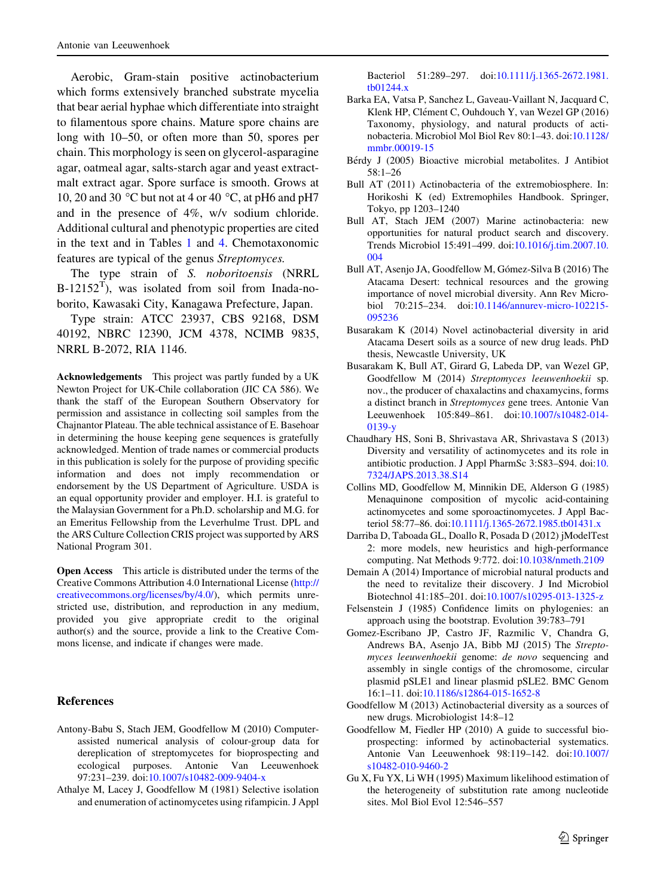<span id="page-11-0"></span>Aerobic, Gram-stain positive actinobacterium which forms extensively branched substrate mycelia that bear aerial hyphae which differentiate into straight to filamentous spore chains. Mature spore chains are long with 10–50, or often more than 50, spores per chain. This morphology is seen on glycerol-asparagine agar, oatmeal agar, salts-starch agar and yeast extractmalt extract agar. Spore surface is smooth. Grows at 10, 20 and 30  $\degree$ C but not at 4 or 40  $\degree$ C, at pH6 and pH7 and in the presence of 4%, w/v sodium chloride. Additional cultural and phenotypic properties are cited in the text and in Tables [1](#page-4-0) and [4.](#page-8-0) Chemotaxonomic features are typical of the genus Streptomyces.

The type strain of S. noboritoensis (NRRL  $B-12152<sup>T</sup>$ ), was isolated from soil from Inada-noborito, Kawasaki City, Kanagawa Prefecture, Japan.

Type strain: ATCC 23937, CBS 92168, DSM 40192, NBRC 12390, JCM 4378, NCIMB 9835, NRRL B-2072, RIA 1146.

Acknowledgements This project was partly funded by a UK Newton Project for UK-Chile collaboration (JIC CA 586). We thank the staff of the European Southern Observatory for permission and assistance in collecting soil samples from the Chajnantor Plateau. The able technical assistance of E. Basehoar in determining the house keeping gene sequences is gratefully acknowledged. Mention of trade names or commercial products in this publication is solely for the purpose of providing specific information and does not imply recommendation or endorsement by the US Department of Agriculture. USDA is an equal opportunity provider and employer. H.I. is grateful to the Malaysian Government for a Ph.D. scholarship and M.G. for an Emeritus Fellowship from the Leverhulme Trust. DPL and the ARS Culture Collection CRIS project was supported by ARS National Program 301.

Open Access This article is distributed under the terms of the Creative Commons Attribution 4.0 International License ([http://](http://creativecommons.org/licenses/by/4.0/) [creativecommons.org/licenses/by/4.0/\)](http://creativecommons.org/licenses/by/4.0/), which permits unrestricted use, distribution, and reproduction in any medium, provided you give appropriate credit to the original author(s) and the source, provide a link to the Creative Commons license, and indicate if changes were made.

#### References

- Antony-Babu S, Stach JEM, Goodfellow M (2010) Computerassisted numerical analysis of colour-group data for dereplication of streptomycetes for bioprospecting and ecological purposes. Antonie Van Leeuwenhoek 97:231–239. doi:[10.1007/s10482-009-9404-x](http://dx.doi.org/10.1007/s10482-009-9404-x)
- Athalye M, Lacey J, Goodfellow M (1981) Selective isolation and enumeration of actinomycetes using rifampicin. J Appl

Bacteriol 51:289–297. doi[:10.1111/j.1365-2672.1981.](http://dx.doi.org/10.1111/j.1365-2672.1981.tb01244.x) [tb01244.x](http://dx.doi.org/10.1111/j.1365-2672.1981.tb01244.x)

- Barka EA, Vatsa P, Sanchez L, Gaveau-Vaillant N, Jacquard C, Klenk HP, Clément C, Ouhdouch Y, van Wezel GP (2016) Taxonomy, physiology, and natural products of actinobacteria. Microbiol Mol Biol Rev 80:1–43. doi[:10.1128/](http://dx.doi.org/10.1128/mmbr.00019-15) [mmbr.00019-15](http://dx.doi.org/10.1128/mmbr.00019-15)
- Bérdy J (2005) Bioactive microbial metabolites. J Antibiot 58:1–26
- Bull AT (2011) Actinobacteria of the extremobiosphere. In: Horikoshi K (ed) Extremophiles Handbook. Springer, Tokyo, pp 1203–1240
- Bull AT, Stach JEM (2007) Marine actinobacteria: new opportunities for natural product search and discovery. Trends Microbiol 15:491–499. doi:[10.1016/j.tim.2007.10.](http://dx.doi.org/10.1016/j.tim.2007.10.004) [004](http://dx.doi.org/10.1016/j.tim.2007.10.004)
- Bull AT, Asenjo JA, Goodfellow M, Gómez-Silva B (2016) The Atacama Desert: technical resources and the growing importance of novel microbial diversity. Ann Rev Microbiol 70:215–234. doi[:10.1146/annurev-micro-102215-](http://dx.doi.org/10.1146/annurev-micro-102215-095236) [095236](http://dx.doi.org/10.1146/annurev-micro-102215-095236)
- Busarakam K (2014) Novel actinobacterial diversity in arid Atacama Desert soils as a source of new drug leads. PhD thesis, Newcastle University, UK
- Busarakam K, Bull AT, Girard G, Labeda DP, van Wezel GP, Goodfellow M (2014) Streptomyces leeuwenhoekii sp. nov., the producer of chaxalactins and chaxamycins, forms a distinct branch in Streptomyces gene trees. Antonie Van Leeuwenhoek 105:849–861. doi:[10.1007/s10482-014-](http://dx.doi.org/10.1007/s10482-014-0139-y) [0139-y](http://dx.doi.org/10.1007/s10482-014-0139-y)
- Chaudhary HS, Soni B, Shrivastava AR, Shrivastava S (2013) Diversity and versatility of actinomycetes and its role in antibiotic production. J Appl PharmSc 3:S83–S94. doi:[10.](http://dx.doi.org/10.7324/JAPS.2013.38.S14) [7324/JAPS.2013.38.S14](http://dx.doi.org/10.7324/JAPS.2013.38.S14)
- Collins MD, Goodfellow M, Minnikin DE, Alderson G (1985) Menaquinone composition of mycolic acid-containing actinomycetes and some sporoactinomycetes. J Appl Bacteriol 58:77–86. doi[:10.1111/j.1365-2672.1985.tb01431.x](http://dx.doi.org/10.1111/j.1365-2672.1985.tb01431.x)
- Darriba D, Taboada GL, Doallo R, Posada D (2012) jModelTest 2: more models, new heuristics and high-performance computing. Nat Methods 9:772. doi[:10.1038/nmeth.2109](http://dx.doi.org/10.1038/nmeth.2109)
- Demain A (2014) Importance of microbial natural products and the need to revitalize their discovery. J Ind Microbiol Biotechnol 41:185–201. doi:[10.1007/s10295-013-1325-z](http://dx.doi.org/10.1007/s10295-013-1325-z)
- Felsenstein J (1985) Confidence limits on phylogenies: an approach using the bootstrap. Evolution 39:783–791
- Gomez-Escribano JP, Castro JF, Razmilic V, Chandra G, Andrews BA, Asenjo JA, Bibb MJ (2015) The Streptomyces leeuwenhoekii genome: de novo sequencing and assembly in single contigs of the chromosome, circular plasmid pSLE1 and linear plasmid pSLE2. BMC Genom 16:1–11. doi[:10.1186/s12864-015-1652-8](http://dx.doi.org/10.1186/s12864-015-1652-8)
- Goodfellow M (2013) Actinobacterial diversity as a sources of new drugs. Microbiologist 14:8–12
- Goodfellow M, Fiedler HP (2010) A guide to successful bioprospecting: informed by actinobacterial systematics. Antonie Van Leeuwenhoek 98:119–142. doi[:10.1007/](http://dx.doi.org/10.1007/s10482-010-9460-2) [s10482-010-9460-2](http://dx.doi.org/10.1007/s10482-010-9460-2)
- Gu X, Fu YX, Li WH (1995) Maximum likelihood estimation of the heterogeneity of substitution rate among nucleotide sites. Mol Biol Evol 12:546–557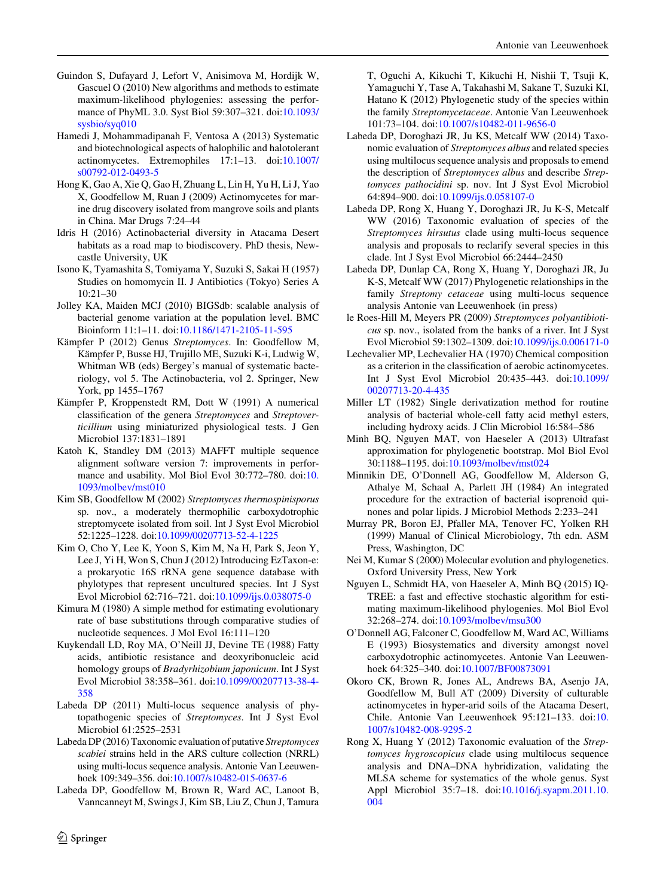- <span id="page-12-0"></span>Guindon S, Dufayard J, Lefort V, Anisimova M, Hordijk W, Gascuel O (2010) New algorithms and methods to estimate maximum-likelihood phylogenies: assessing the performance of PhyML 3.0. Syst Biol 59:307–321. doi[:10.1093/](http://dx.doi.org/10.1093/sysbio/syq010) [sysbio/syq010](http://dx.doi.org/10.1093/sysbio/syq010)
- Hamedi J, Mohammadipanah F, Ventosa A (2013) Systematic and biotechnological aspects of halophilic and halotolerant actinomycetes. Extremophiles 17:1–13. doi[:10.1007/](http://dx.doi.org/10.1007/s00792-012-0493-5) [s00792-012-0493-5](http://dx.doi.org/10.1007/s00792-012-0493-5)
- Hong K, Gao A, Xie Q, Gao H, Zhuang L, Lin H, Yu H, Li J, Yao X, Goodfellow M, Ruan J (2009) Actinomycetes for marine drug discovery isolated from mangrove soils and plants in China. Mar Drugs 7:24–44
- Idris H (2016) Actinobacterial diversity in Atacama Desert habitats as a road map to biodiscovery. PhD thesis, Newcastle University, UK
- Isono K, Tyamashita S, Tomiyama Y, Suzuki S, Sakai H (1957) Studies on homomycin II. J Antibiotics (Tokyo) Series A 10:21–30
- Jolley KA, Maiden MCJ (2010) BIGSdb: scalable analysis of bacterial genome variation at the population level. BMC Bioinform 11:1–11. doi[:10.1186/1471-2105-11-595](http://dx.doi.org/10.1186/1471-2105-11-595)
- Kämpfer P (2012) Genus Streptomyces. In: Goodfellow M, Kämpfer P, Busse HJ, Trujillo ME, Suzuki K-i, Ludwig W, Whitman WB (eds) Bergey's manual of systematic bacteriology, vol 5. The Actinobacteria, vol 2. Springer, New York, pp 1455–1767
- Kämpfer P, Kroppenstedt RM, Dott W (1991) A numerical classification of the genera Streptomyces and Streptoverticillium using miniaturized physiological tests. J Gen Microbiol 137:1831–1891
- Katoh K, Standley DM (2013) MAFFT multiple sequence alignment software version 7: improvements in performance and usability. Mol Biol Evol 30:772–780. doi:[10.](http://dx.doi.org/10.1093/molbev/mst010) [1093/molbev/mst010](http://dx.doi.org/10.1093/molbev/mst010)
- Kim SB, Goodfellow M (2002) Streptomyces thermospinisporus sp. nov., a moderately thermophilic carboxydotrophic streptomycete isolated from soil. Int J Syst Evol Microbiol 52:1225–1228. doi[:10.1099/00207713-52-4-1225](http://dx.doi.org/10.1099/00207713-52-4-1225)
- Kim O, Cho Y, Lee K, Yoon S, Kim M, Na H, Park S, Jeon Y, Lee J, Yi H, Won S, Chun J (2012) Introducing EzTaxon-e: a prokaryotic 16S rRNA gene sequence database with phylotypes that represent uncultured species. Int J Syst Evol Microbiol 62:716–721. doi:[10.1099/ijs.0.038075-0](http://dx.doi.org/10.1099/ijs.0.038075-0)
- Kimura M (1980) A simple method for estimating evolutionary rate of base substitutions through comparative studies of nucleotide sequences. J Mol Evol 16:111–120
- Kuykendall LD, Roy MA, O'Neill JJ, Devine TE (1988) Fatty acids, antibiotic resistance and deoxyribonucleic acid homology groups of Bradyrhizobium japonicum. Int J Syst Evol Microbiol 38:358–361. doi[:10.1099/00207713-38-4-](http://dx.doi.org/10.1099/00207713-38-4-358) [358](http://dx.doi.org/10.1099/00207713-38-4-358)
- Labeda DP (2011) Multi-locus sequence analysis of phytopathogenic species of Streptomyces. Int J Syst Evol Microbiol 61:2525–2531
- Labeda DP (2016) Taxonomic evaluation of putative Streptomyces scabiei strains held in the ARS culture collection (NRRL) using multi-locus sequence analysis. Antonie Van Leeuwenhoek 109:349–356. doi[:10.1007/s10482-015-0637-6](http://dx.doi.org/10.1007/s10482-015-0637-6)
- Labeda DP, Goodfellow M, Brown R, Ward AC, Lanoot B, Vanncanneyt M, Swings J, Kim SB, Liu Z, Chun J, Tamura

 $\circledcirc$  Springer

T, Oguchi A, Kikuchi T, Kikuchi H, Nishii T, Tsuji K, Yamaguchi Y, Tase A, Takahashi M, Sakane T, Suzuki KI, Hatano K (2012) Phylogenetic study of the species within the family Streptomycetaceae. Antonie Van Leeuwenhoek 101:73–104. doi[:10.1007/s10482-011-9656-0](http://dx.doi.org/10.1007/s10482-011-9656-0)

- Labeda DP, Doroghazi JR, Ju KS, Metcalf WW (2014) Taxonomic evaluation of Streptomyces albus and related species using multilocus sequence analysis and proposals to emend the description of Streptomyces albus and describe Streptomyces pathocidini sp. nov. Int J Syst Evol Microbiol 64:894–900. doi[:10.1099/ijs.0.058107-0](http://dx.doi.org/10.1099/ijs.0.058107-0)
- Labeda DP, Rong X, Huang Y, Doroghazi JR, Ju K-S, Metcalf WW (2016) Taxonomic evaluation of species of the Streptomyces hirsutus clade using multi-locus sequence analysis and proposals to reclarify several species in this clade. Int J Syst Evol Microbiol 66:2444–2450
- Labeda DP, Dunlap CA, Rong X, Huang Y, Doroghazi JR, Ju K-S, Metcalf WW (2017) Phylogenetic relationships in the family Streptomy cetaceae using multi-locus sequence analysis Antonie van Leeuwenhoek (in press)
- le Roes-Hill M, Meyers PR (2009) Streptomyces polyantibioticus sp. nov., isolated from the banks of a river. Int J Syst Evol Microbiol 59:1302–1309. doi[:10.1099/ijs.0.006171-0](http://dx.doi.org/10.1099/ijs.0.006171-0)
- Lechevalier MP, Lechevalier HA (1970) Chemical composition as a criterion in the classification of aerobic actinomycetes. Int J Syst Evol Microbiol 20:435–443. doi[:10.1099/](http://dx.doi.org/10.1099/00207713-20-4-435) [00207713-20-4-435](http://dx.doi.org/10.1099/00207713-20-4-435)
- Miller LT (1982) Single derivatization method for routine analysis of bacterial whole-cell fatty acid methyl esters, including hydroxy acids. J Clin Microbiol 16:584–586
- Minh BQ, Nguyen MAT, von Haeseler A (2013) Ultrafast approximation for phylogenetic bootstrap. Mol Biol Evol 30:1188–1195. doi:[10.1093/molbev/mst024](http://dx.doi.org/10.1093/molbev/mst024)
- Minnikin DE, O'Donnell AG, Goodfellow M, Alderson G, Athalye M, Schaal A, Parlett JH (1984) An integrated procedure for the extraction of bacterial isoprenoid quinones and polar lipids. J Microbiol Methods 2:233–241
- Murray PR, Boron EJ, Pfaller MA, Tenover FC, Yolken RH (1999) Manual of Clinical Microbiology, 7th edn. ASM Press, Washington, DC
- Nei M, Kumar S (2000) Molecular evolution and phylogenetics. Oxford University Press, New York
- Nguyen L, Schmidt HA, von Haeseler A, Minh BQ (2015) IQ-TREE: a fast and effective stochastic algorithm for estimating maximum-likelihood phylogenies. Mol Biol Evol 32:268–274. doi[:10.1093/molbev/msu300](http://dx.doi.org/10.1093/molbev/msu300)
- O'Donnell AG, Falconer C, Goodfellow M, Ward AC, Williams E (1993) Biosystematics and diversity amongst novel carboxydotrophic actinomycetes. Antonie Van Leeuwenhoek 64:325–340. doi:[10.1007/BF00873091](http://dx.doi.org/10.1007/BF00873091)
- Okoro CK, Brown R, Jones AL, Andrews BA, Asenjo JA, Goodfellow M, Bull AT (2009) Diversity of culturable actinomycetes in hyper-arid soils of the Atacama Desert, Chile. Antonie Van Leeuwenhoek 95:121–133. doi:[10.](http://dx.doi.org/10.1007/s10482-008-9295-2) [1007/s10482-008-9295-2](http://dx.doi.org/10.1007/s10482-008-9295-2)
- Rong X, Huang Y (2012) Taxonomic evaluation of the Streptomyces hygroscopicus clade using multilocus sequence analysis and DNA–DNA hybridization, validating the MLSA scheme for systematics of the whole genus. Syst Appl Microbiol 35:7–18. doi[:10.1016/j.syapm.2011.10.](http://dx.doi.org/10.1016/j.syapm.2011.10.004) [004](http://dx.doi.org/10.1016/j.syapm.2011.10.004)